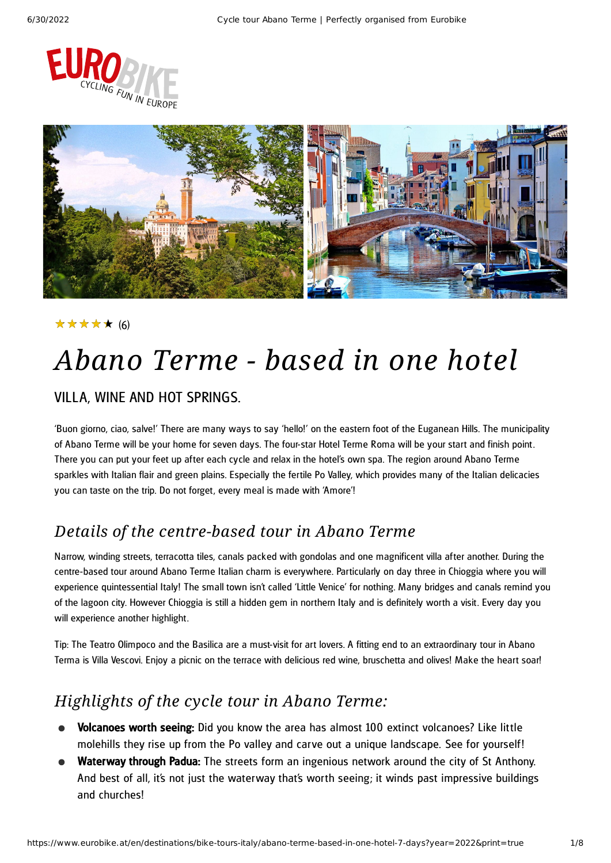



### (6) ★★★★★

# *Abano Terme - based in one hotel*

### VILLA, WINE AND HOT SPRINGS.

'Buon giorno, ciao, salve!' There are many ways to say 'hello!' on the eastern foot of the Euganean Hills. The municipality of Abano Terme will be your home for seven days. The four-star Hotel Terme Roma will be your start and finish point. There you can put your feet up after each cycle and relax in the hotel's own spa. The region around Abano Terme sparkles with Italian flair and green plains. Especially the fertile Po Valley, which provides many of the Italian delicacies you can taste on the trip. Do not forget, every meal is made with 'Amore'!

## *Details of the centre-based tour in Abano Terme*

Narrow, winding streets, terracotta tiles, canals packed with gondolas and one magnificent villa after another. During the centre-based tour around Abano Terme Italian charm is everywhere. Particularly on day three in Chioggia where you will experience quintessential Italy! The small town isn't called 'Little Venice' for nothing. Many bridges and canals remind you of the lagoon city. However Chioggia is still a hidden gem in northern Italy and is definitely worth a visit. Every day you will experience another highlight.

Tip: The Teatro Olimpoco and the Basilica are a must-visit for art lovers. A fitting end to an extraordinary tour in Abano Terma is Villa Vescovi. Enjoy a picnic on the terrace with delicious red wine, bruschetta and olives! Make the heart soar!

### *Highlights of the cycle tour in Abano Terme:*

- Volcanoes worth seeing: Did you know the area has almost 100 extinct volcanoes? Like little molehills they rise up from the Po valley and carve out a unique landscape. See for yourself!
- Waterway through Padua: The streets form an ingenious network around the city of St Anthony. And best of all, it's not just the waterway that's worth seeing; it winds past impressive buildings and churches!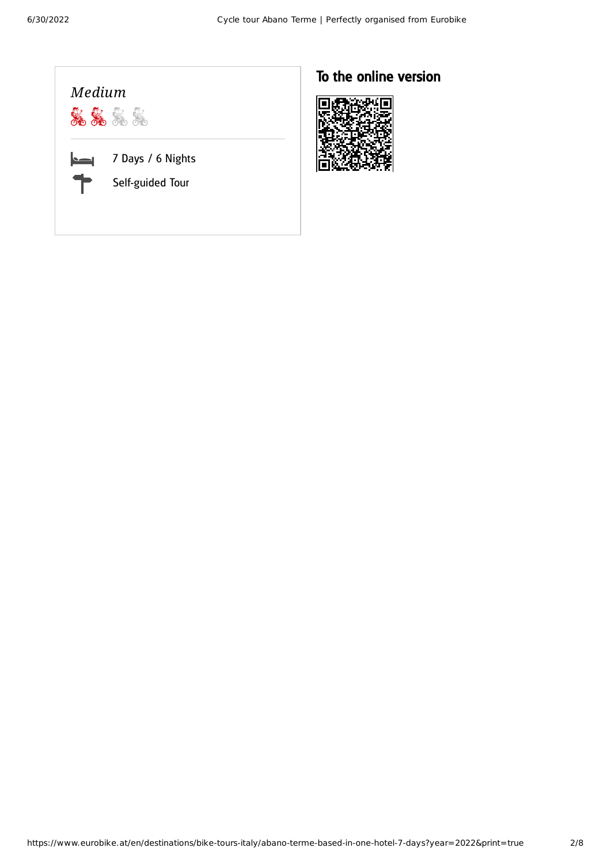

## To the online version

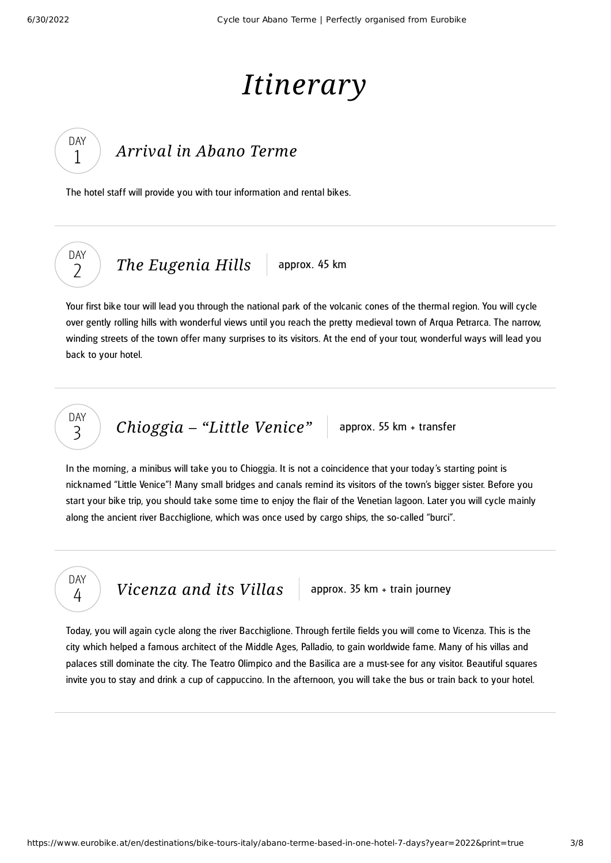DAY 1

DAY  $\overline{\phantom{0}}$ 

# *Itinerary*

## *[Arrival](#page-2-0) in Abano Terme*

<span id="page-2-0"></span>The hotel staff will provide you with tour information and rental bikes.

*The [Eugenia](#page-2-1) Hills* approx. 45 km

<span id="page-2-1"></span>Your first bike tour will lead you through the national park of the volcanic cones of the thermal region. You will cycle over gently rolling hills with wonderful views until you reach the pretty medieval town of Arqua Petrarca. The narrow, winding streets of the town offer many surprises to its visitors. At the end of your tour, wonderful ways will lead you back to your hotel.

## DAY 3

*[Chioggia](#page-2-2)* – "Little Venice" approx. 55 km + transfer

<span id="page-2-2"></span>In the morning, a minibus will take you to Chioggia. It is not a coincidence that your today's starting point is nicknamed "Little Venice"! Many small bridges and canals remind its visitors of the town's bigger sister. Before you start your bike trip, you should take some time to enjoy the flair of the Venetian lagoon. Later you will cycle mainly along the ancient river Bacchiglione, which was once used by cargo ships, the so-called "burci".

DAY 4

*[Vicenza](#page-2-3) and its Villas* approx. 35 km + train journey

<span id="page-2-3"></span>Today, you will again cycle along the river Bacchiglione. Through fertile fields you will come to Vicenza. This is the city which helped a famous architect of the Middle Ages, Palladio, to gain worldwide fame. Many of his villas and palaces still dominate the city. The Teatro Olimpico and the Basilica are a must-see for any visitor. Beautiful squares invite you to stay and drink a cup of cappuccino. In the afternoon, you will take the bus or train back to your hotel.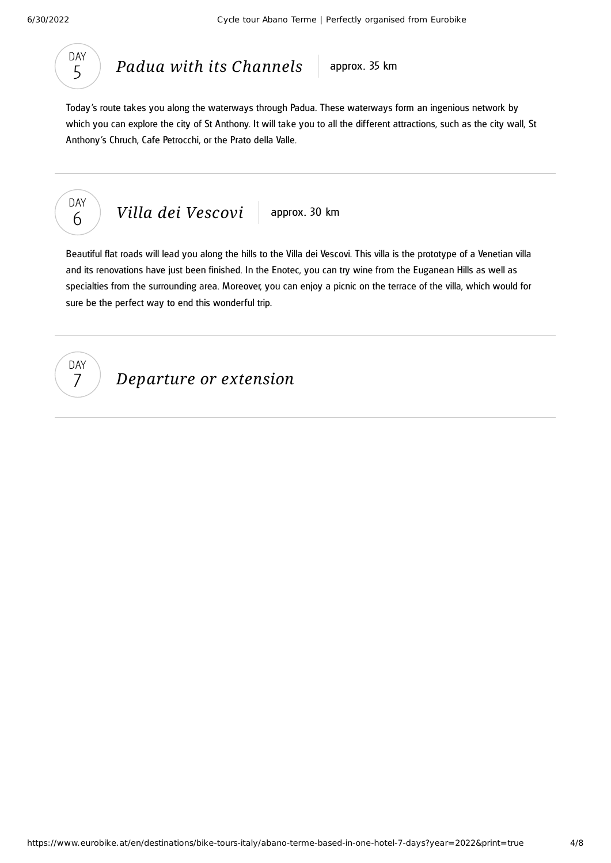

*Padua with its [Channels](#page-3-0)* approx. 35 km

<span id="page-3-0"></span>Today's route takes you along the waterways through Padua. These waterways form an ingenious network by which you can explore the city of St Anthony. It will take you to all the different attractions, such as the city wall, St Anthony's Chruch, Cafe Petrocchi, or the Prato della Valle.



*Villa dei [Vescovi](#page-3-1)* approx. 30 km

<span id="page-3-1"></span>Beautiful flat roads will lead you along the hills to the Villa dei Vescovi. This villa is the prototype of a Venetian villa and its renovations have just been finished. In the Enotec, you can try wine from the Euganean Hills as well as specialties from the surrounding area. Moreover, you can enjoy a picnic on the terrace of the villa, which would for sure be the perfect way to end this wonderful trip.



*Departure or extension*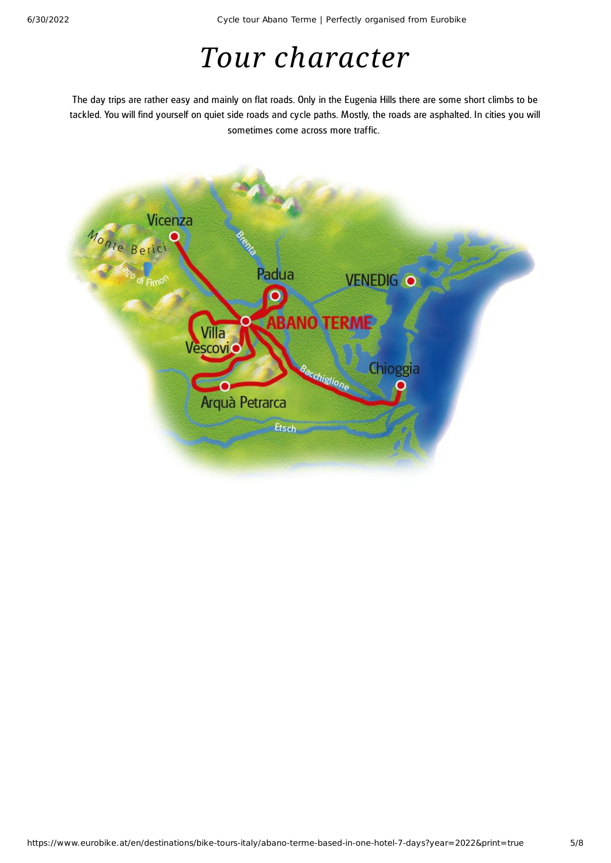# *Tour character*

The day trips are rather easy and mainly on flat roads. Only in the Eugenia Hills there are some short climbs to be tackled. You will find yourself on quiet side roads and cycle paths. Mostly, the roads are asphalted. In cities you will sometimes come across more traffic.

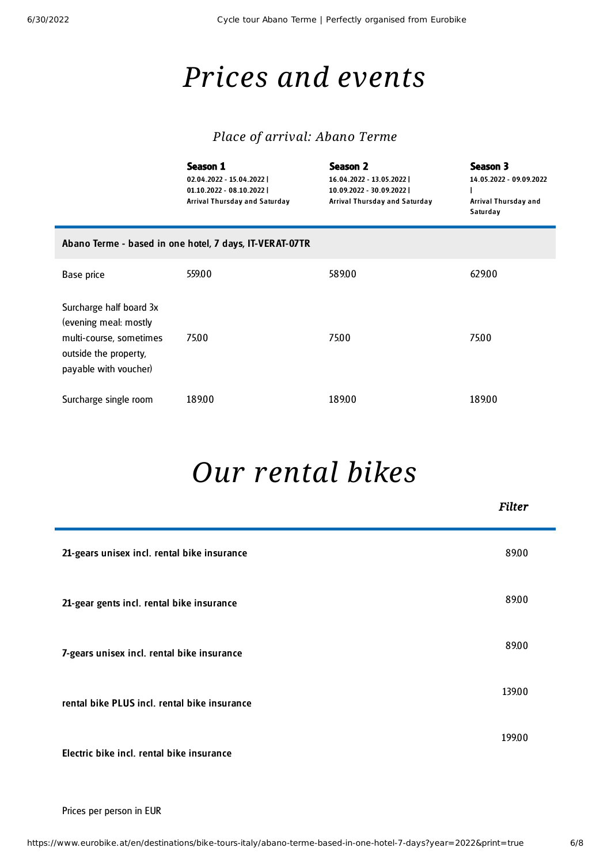É

# *Prices and events*

### *Place of arrival: Abano Terme*

|                                                                                                                               | Season 1<br>02.04.2022 - 15.04.2022  <br>01.10.2022 - 08.10.2022  <br>Arrival Thursday and Saturday | Season 2<br>16.04.2022 - 13.05.2022  <br>10.09.2022 - 30.09.2022  <br>Arrival Thursday and Saturday | Season 3<br>14.05.2022 - 09.09.2022<br>Arrival Thursday and<br>Saturday |  |
|-------------------------------------------------------------------------------------------------------------------------------|-----------------------------------------------------------------------------------------------------|-----------------------------------------------------------------------------------------------------|-------------------------------------------------------------------------|--|
| Abano Terme - based in one hotel, 7 days, IT-VERAT-07TR                                                                       |                                                                                                     |                                                                                                     |                                                                         |  |
| Base price                                                                                                                    | 559.00                                                                                              | 589.00                                                                                              | 629.00                                                                  |  |
| Surcharge half board 3x<br>(evening meal: mostly<br>multi-course, sometimes<br>outside the property,<br>payable with voucher) | 75.00                                                                                               | 75.00                                                                                               | 75.00                                                                   |  |
| Surcharge single room                                                                                                         | 189.00                                                                                              | 189.00                                                                                              | 189.00                                                                  |  |

# *Our [rental](#page-5-0) bikes*

<span id="page-5-0"></span>

|                                              | <b>Filter</b> |
|----------------------------------------------|---------------|
| 21-gears unisex incl. rental bike insurance  | 89.00         |
| 21-gear gents incl. rental bike insurance    | 89.00         |
| 7-gears unisex incl. rental bike insurance   | 89.00         |
| rental bike PLUS incl. rental bike insurance | 139.00        |
| Electric bike incl. rental bike insurance    | 199.00        |

Prices per person in EUR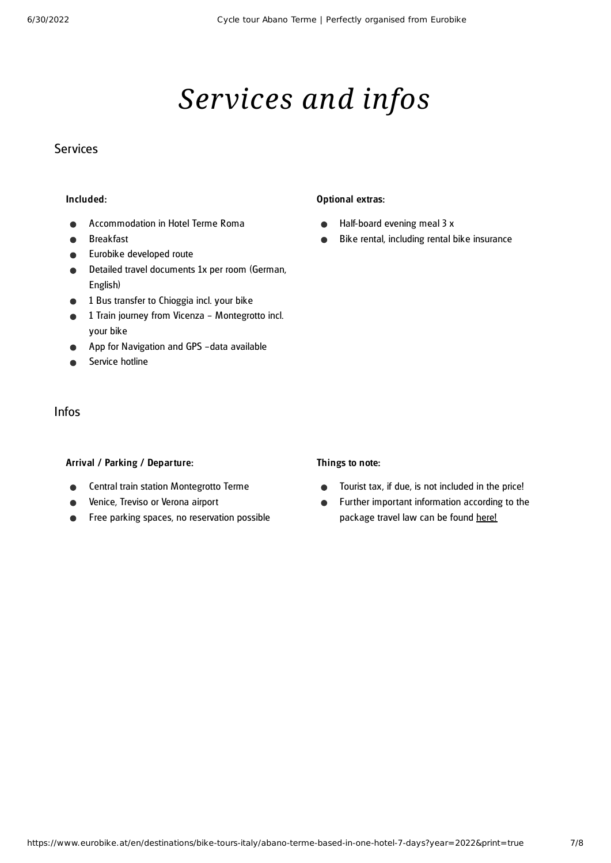# *Services and infos*

### **Services**

#### Included:

- Accommodation in Hotel Terme Roma
- Breakfast
- Eurobike developed route  $\bullet$
- Detailed travel documents 1x per room (German,  $\bullet$ English)
- 1 Bus transfer to Chioggia incl. your bike
- 1 Train journey from Vicenza Montegrotto incl.  $\bullet$ your bike
- App for Navigation and GPS –data available
- Service hotline

### Infos

#### Arrival / Parking / Departure:

- Central train station Montegrotto Terme
- Venice, Treviso or Verona airport
- Free parking spaces, no reservation possible  $\bullet$

#### Optional extras:

- Half-board evening meal 3 x  $\bullet$
- Bike rental, including rental bike insurance  $\bullet$

### Things to note:

- Tourist tax, if due, is not included in the price!  $\bullet$
- Further important information according to the  $\bullet$ package travel law can be found [here](https://www.eurobike.at/en/travel-information/before-the-tour/pci)!